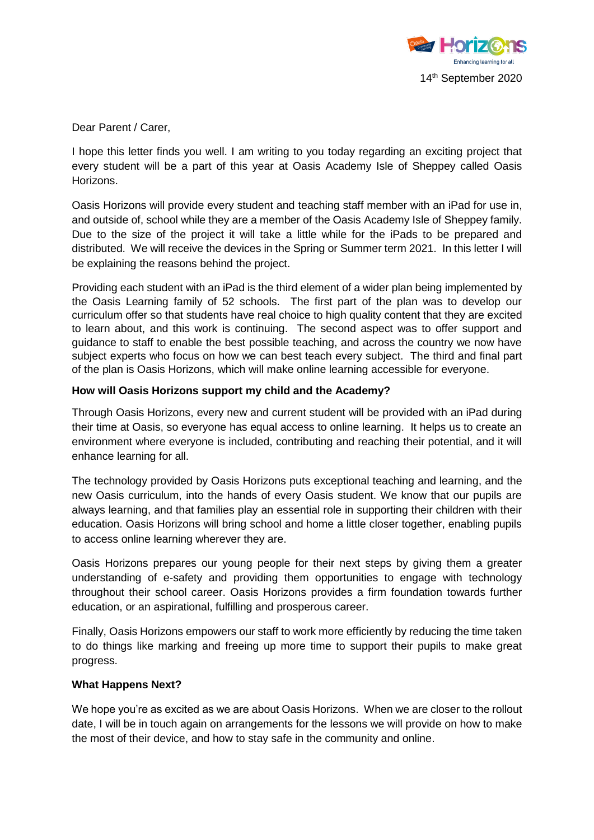

Dear Parent / Carer,

I hope this letter finds you well. I am writing to you today regarding an exciting project that every student will be a part of this year at Oasis Academy Isle of Sheppey called Oasis Horizons.

Oasis Horizons will provide every student and teaching staff member with an iPad for use in, and outside of, school while they are a member of the Oasis Academy Isle of Sheppey family. Due to the size of the project it will take a little while for the iPads to be prepared and distributed. We will receive the devices in the Spring or Summer term 2021. In this letter I will be explaining the reasons behind the project.

Providing each student with an iPad is the third element of a wider plan being implemented by the Oasis Learning family of 52 schools. The first part of the plan was to develop our curriculum offer so that students have real choice to high quality content that they are excited to learn about, and this work is continuing. The second aspect was to offer support and guidance to staff to enable the best possible teaching, and across the country we now have subject experts who focus on how we can best teach every subject. The third and final part of the plan is Oasis Horizons, which will make online learning accessible for everyone.

## **How will Oasis Horizons support my child and the Academy?**

Through Oasis Horizons, every new and current student will be provided with an iPad during their time at Oasis, so everyone has equal access to online learning. It helps us to create an environment where everyone is included, contributing and reaching their potential, and it will enhance learning for all.

The technology provided by Oasis Horizons puts exceptional teaching and learning, and the new Oasis curriculum, into the hands of every Oasis student. We know that our pupils are always learning, and that families play an essential role in supporting their children with their education. Oasis Horizons will bring school and home a little closer together, enabling pupils to access online learning wherever they are.

Oasis Horizons prepares our young people for their next steps by giving them a greater understanding of e-safety and providing them opportunities to engage with technology throughout their school career. Oasis Horizons provides a firm foundation towards further education, or an aspirational, fulfilling and prosperous career.

Finally, Oasis Horizons empowers our staff to work more efficiently by reducing the time taken to do things like marking and freeing up more time to support their pupils to make great progress.

## **What Happens Next?**

We hope you're as excited as we are about Oasis Horizons. When we are closer to the rollout date, I will be in touch again on arrangements for the lessons we will provide on how to make the most of their device, and how to stay safe in the community and online.